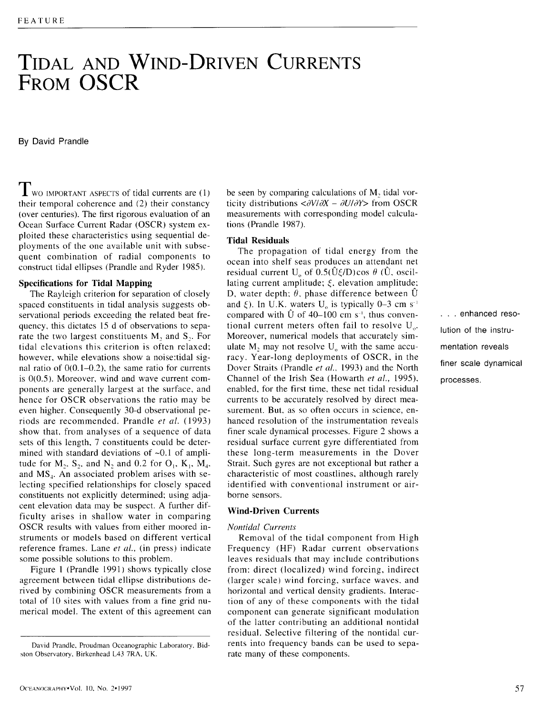# **TIDAL AND WIND-DRIVEN CURRENTS FROM OSCR**

By David Prandle

 $\prod$  wo IMPORTANT ASPECTS of tidal currents are (1) their temporal coherence and (2) their constancy (over centuries). The first rigorous evaluation of an Ocean Surface Current Radar (OSCR) system exploited these characteristics using sequential deployments of the one available unit with subsequent combination of radial components to construct tidal ellipses (Prandle and Ryder 1985).

#### **Specifications for Tidal Mapping**

The Rayleigh criterion for separation of closely spaced constituents in tidal analysis suggests observational periods exceeding the related beat frequency, this dictates 15 d of observations to separate the two largest constituents  $M_2$ , and  $S_2$ . For tidal elevations this criterion is often relaxed: however, while elevations show a noise:tidal signal ratio of  $0(0.1-0.2)$ , the same ratio for currents is 0(0.5). Moreover, wind and wave current components are generally largest at the surface, and hence for OSCR observations the ratio may be even higher. Consequently 30-d observational periods are recommended. Prandle *et al.* (1993) show that, from analyses of a sequence of data sets of this length, 7 constituents could be determined with standard deviations of ~0.1 of amplitude for  $M_2$ ,  $S_2$ , and N, and 0.2 for  $O_1$ ,  $K_1$ ,  $M_4$ , and  $MS<sub>4</sub>$ . An associated problem arises with selecting specified relationships for closely spaced constituents not explicitly determined; using adjacent elevation data may be suspect. A further difficulty arises in shallow water in comparing OSCR results with values from either moored instruments or models based on different vertical reference frames. Lane *et ell.,* (in press) indicate some possible solutions to this problem.

Figure 1 (Prandle 1991) shows typically close agreement between tidal ellipse distributions derived by combining OSCR measurements from a total of 10 sites with values from a fine grid numerical model. The extent of this agreement can be seen by comparing calculations of M, tidal vorticity distributions  $\langle \partial V/\partial X - \partial U/\partial Y \rangle$  from OSCR measurements with corresponding model calculations (Prandle 1987).

#### **Tidal Residuals**

The propagation of tidal energy from the ocean into shelf seas produces an attendant net residual current  $U_0$  of  $0.5(\hat{U}\xi/D)\cos\theta$  ( $\hat{U}$ , oscillating current amplitude;  $\xi$ , elevation amplitude; D, water depth:  $\theta$ , phase difference between  $\hat{U}$ and  $\xi$ ). In U.K. waters U<sub>o</sub> is typically 0-3 cm s<sup>-1</sup> compared with  $\hat{U}$  of 40-100 cm s<sup>-1</sup>, thus conventional current meters often fail to resolve  $U_{\alpha}$ . Moreover, numerical models that accurately simulate M, may not resolve  $U_0$  with the same accuracy. Year-long deployments of OSCR, in the Dover Straits (Prandle *et al.,* 1993) and the North Channel of the Irish Sea (Howarth *et al.,* 1995), enabled, for the first time, these net tidal residual currents to be accurately resolved by direct measurement. But, as so often occurs in science, enhanced resolution of the instrumentation reveals finer scale dynamical processes. Figure 2 shows a residual surface current gyre differentiated from these long-term measurements in the Dover Strait. Such gyres are not exceptional but rather a characteristic of most coastlines, although rarely identified with conventional instrument or airborne sensors.

## **Wind-Driven Currents**

# *Nontidal Currents*

Removal of the tidal component from High Frequency (HF) Radar current observations leaves residuals that may include contributions from: direct (localized) wind forcing, indirect (larger scale) wind forcing, surface waves, and horizontal and vertical density gradients. Interaction of any of these components with the tidal component can generate significant modulation of the latter contributing an additional nontidal residual. Selective filtering of the nontidal currents into frequency bands can be used to separate many of these components.

• . . enhanced resolution of the instrumentation reveals **finer** scale dynamical **processes.** 

David Prandle, Proudman Oceanographic Laboratory, Bidston Observatory. Birkenhead L43 7RA. UK.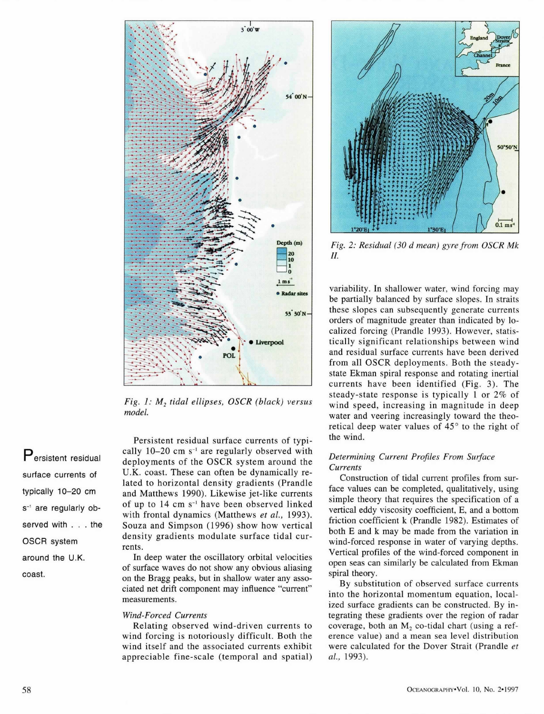

*Fig. 1: M<sub>2</sub> tidal ellipses, OSCR (black) versus model.* 

**Persistent** residual surface currents of typically 10-20 cm s<sup>-1</sup> are regularly observed with . . . the OSCR system around the U.K. coast.

Persistent residual surface currents of typically  $10-20$  cm  $s^{-1}$  are regularly observed with deployments of the OSCR system around the U.K. coast. These can often be dynamically related to horizontal density gradients (Prandle and Matthews 1990). Likewise jet-like currents of up to 14 cm s<sup>-1</sup> have been observed linked with frontal dynamics (Matthews *et al.,* 1993). Souza and Simpson (1996) show how vertical density gradients modulate surface tidal currents.

In deep water the oscillatory orbital velocities of surface waves do not show any obvious aliasing on the Bragg peaks, but in shallow water any associated net drift component may influence "current" measurements.

#### *Wind-Forced Currents*

Relating observed wind-driven currents to wind forcing is notoriously difficult. Both the wind itself and the associated currents exhibit appreciable fine-scale (temporal and spatial)



*Fig. 2: Residual (30 d mean) gyre from OSCR Mk II.* 

variability. In shallower water, wind forcing may be partially balanced by surface slopes. In straits these slopes can subsequently generate currents orders of magnitude greater than indicated by localized forcing (Prandle 1993). However, statistically significant relationships between wind and residual surface currents have been derived from all OSCR deployments. Both the steadystate Ekman spiral response and rotating inertial currents have been identified (Fig. 3). The steady-state response is typically 1 or 2% of wind speed, increasing in magnitude in deep water and veering increasingly toward the theoretical deep water values of  $45^\circ$  to the right of the wind.

# *Determining Current Profiles From Surface Currents*

Construction of tidal current profiles from surface values can be completed, qualitatively, using simple theory that requires the specification of a vertical eddy viscosity coefficient, E, and a bottom friction coefficient k (Prandle 1982). Estimates of both E and k may be made from the variation in wind-forced response in water of varying depths. Vertical profiles of the wind-forced component in open seas can similarly be calculated from Ekman spiral theory.

By substitution of observed surface currents into the horizontal momentum equation, localized surface gradients can be constructed. By integrating these gradients over the region of radar coverage, both an  $M<sub>2</sub>$  co-tidal chart (using a reference value) and a mean sea level distribution were calculated for the Dover Strait (Prandle *et al.,* 1993).